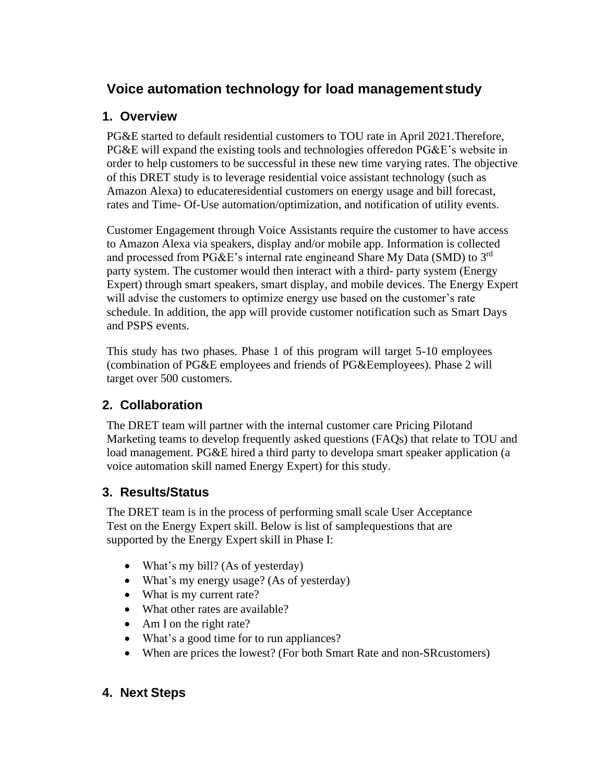# **Voice automation technology for load management study**

#### **1. Overview**

PG&E started to default residential customers to TOU rate in April 2021.Therefore, PG&E will expand the existing tools and technologies offeredon PG&E's website in order to help customers to be successful in these new time varying rates. The objective of this DRET study is to leverage residential voice assistant technology (such as Amazon Alexa) to educateresidential customers on energy usage and bill forecast, rates and Time- Of-Use automation/optimization, and notification of utility events.

Customer Engagement through Voice Assistants require the customer to have access to Amazon Alexa via speakers, display and/or mobile app. Information is collected and processed from PG&E's internal rate engineand Share My Data (SMD) to  $3^{rd}$ party system. The customer would then interact with a third- party system (Energy Expert) through smart speakers, smart display, and mobile devices. The Energy Expert will advise the customers to optimize energy use based on the customer's rate schedule. In addition, the app will provide customer notification such as Smart Days and PSPS events.

This study has two phases. Phase 1 of this program will target 5-10 employees (combination of PG&E employees and friends of PG&Eemployees). Phase 2 will target over 500 customers.

## **2. Collaboration**

The DRET team will partner with the internal customer care Pricing Pilotand Marketing teams to develop frequently asked questions (FAQs) that relate to TOU and load management. PG&E hired a third party to developa smart speaker application (a voice automation skill named Energy Expert) for this study.

### **3. Results/Status**

The DRET team is in the process of performing small scale User Acceptance Test on the Energy Expert skill. Below is list of samplequestions that are supported by the Energy Expert skill in Phase I:

- What's my bill? (As of yesterday)
- What's my energy usage? (As of yesterday)
- What is my current rate?
- What other rates are available?
- Am I on the right rate?
- What's a good time for to run appliances?
- When are prices the lowest? (For both Smart Rate and non-SRcustomers)

### **4. Next Steps**